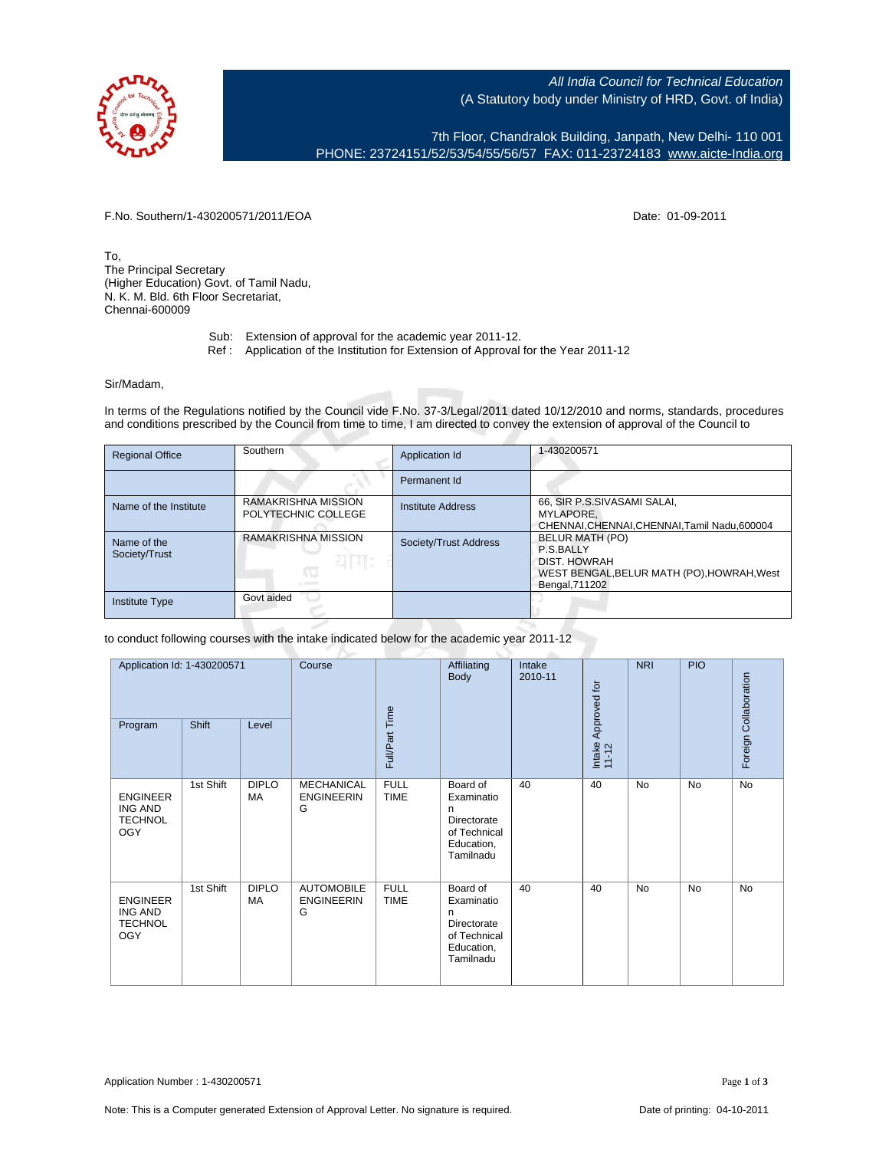All India Council for Technical Education (A Statutory body under Ministry of HRD, Govt. of India)

7th Floor, Chandralok Building, Janpath, New Delhi- 110 001 PHONE: 23724151/52/53/54/55/56/57 FAX: 011-23724183 [www.aicte-India.org](http://www.aicte-India.org)

F.No. Southern/1-430200571/2011/EOA Date: 01-09-2011

To, The Principal Secretary (Higher Education) Govt. of Tamil Nadu, N. K. M. Bld. 6th Floor Secretariat, Chennai-600009

- Sub: Extension of approval for the academic year 2011-12.
- Ref : Application of the Institution for Extension of Approval for the Year 2011-12

## Sir/Madam,

In terms of the Regulations notified by the Council vide F.No. 37-3/Legal/2011 dated 10/12/2010 and norms, standards, procedures and conditions prescribed by the Council from time to time, I am directed to convey the extension of approval of the Council to

| <b>Regional Office</b>       | Southern                                              | Application Id        | 1-430200571                                                                                                  |
|------------------------------|-------------------------------------------------------|-----------------------|--------------------------------------------------------------------------------------------------------------|
|                              |                                                       | Permanent Id          |                                                                                                              |
| Name of the Institute        | RAMAKRISHNA MISSION<br>POLYTECHNIC COLLEGE            | Institute Address     | 66, SIR P.S.SIVASAMI SALAI,<br>MYLAPORE.<br>CHENNAI, CHENNAI, CHENNAI, Tamil Nadu, 600004                    |
| Name of the<br>Society/Trust | <b>RAMAKRISHNA MISSION</b><br>यामः<br>œ<br>or reports | Society/Trust Address | BELUR MATH (PO)<br>P.S.BALLY<br>DIST. HOWRAH<br>WEST BENGAL, BELUR MATH (PO), HOWRAH, West<br>Bengal, 711202 |
| <b>Institute Type</b>        | Govt aided                                            |                       |                                                                                                              |

## to conduct following courses with the intake indicated below for the academic year 2011-12

| Program                                                           | Application Id: 1-430200571<br>Shift<br>Level |                    | Course                                      | Full/Part Time             | Affiliating<br>Body                                                                   | Intake<br>2010-11 | Intake Approved for<br>11-12 | <b>NRI</b> | <b>PIO</b> | Foreign Collaboration |
|-------------------------------------------------------------------|-----------------------------------------------|--------------------|---------------------------------------------|----------------------------|---------------------------------------------------------------------------------------|-------------------|------------------------------|------------|------------|-----------------------|
| <b>ENGINEER</b><br><b>ING AND</b><br><b>TECHNOL</b><br><b>OGY</b> | 1st Shift                                     | <b>DIPLO</b><br>MA | <b>MECHANICAL</b><br><b>ENGINEERIN</b><br>G | <b>FULL</b><br><b>TIME</b> | Board of<br>Examinatio<br>n<br>Directorate<br>of Technical<br>Education,<br>Tamilnadu | 40                | 40                           | <b>No</b>  | No         | No                    |
| <b>ENGINEER</b><br><b>ING AND</b><br><b>TECHNOL</b><br><b>OGY</b> | 1st Shift                                     | <b>DIPLO</b><br>MA | <b>AUTOMOBILE</b><br><b>ENGINEERIN</b><br>G | <b>FULL</b><br><b>TIME</b> | Board of<br>Examinatio<br>n<br>Directorate<br>of Technical<br>Education,<br>Tamilnadu | 40                | 40                           | <b>No</b>  | No         | <b>No</b>             |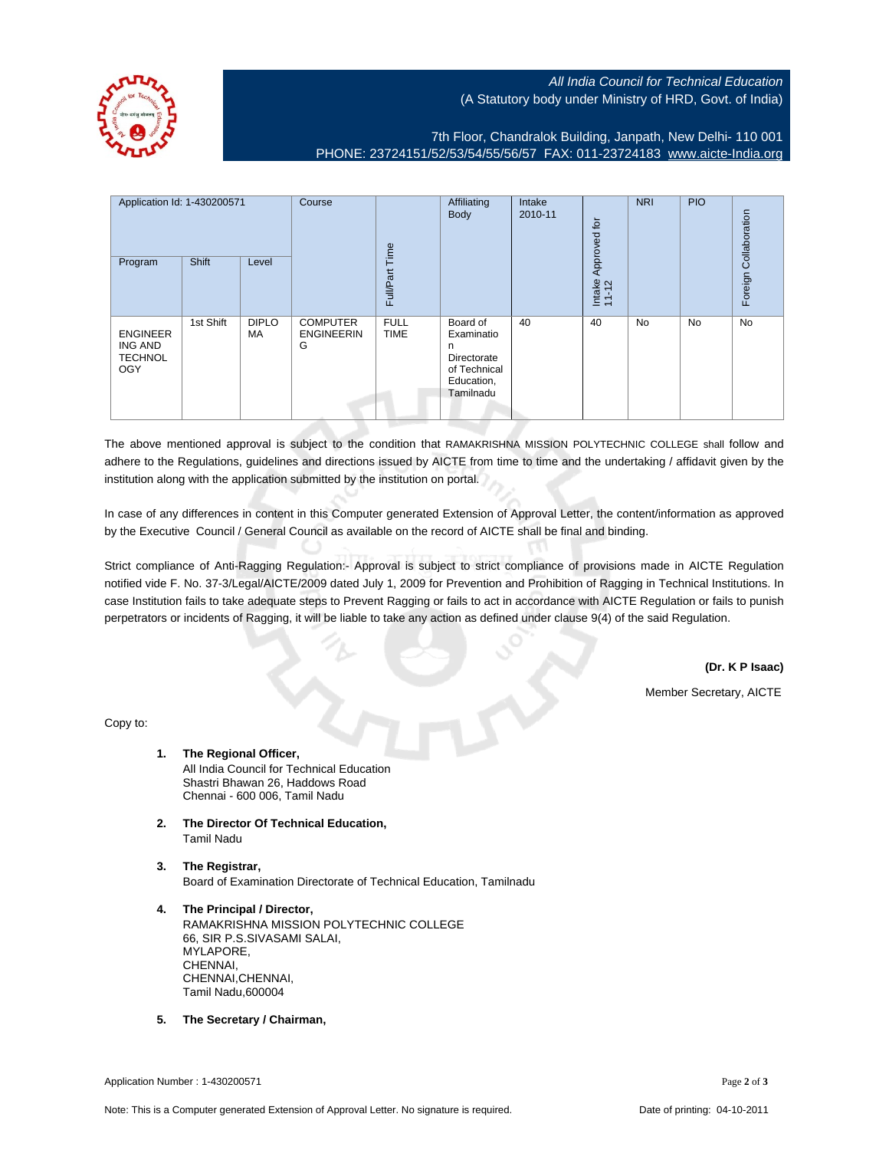All India Council for Technical Education (A Statutory body under Ministry of HRD, Govt. of India)

7th Floor, Chandralok Building, Janpath, New Delhi- 110 001 PHONE: 23724151/52/53/54/55/56/57 FAX: 011-23724183 [www.aicte-India.org](http://www.aicte-India.org)

| Application Id: 1-430200571<br>Program                     | Shift     | Level              | Course                                    | jme<br>Full/Part           | Affiliating<br><b>Body</b>                                                            | Intake<br>2010-11 | Approved for<br>Intake<br>11-12 | <b>NRI</b> | <b>PIO</b> | Collaboration<br>Foreign |
|------------------------------------------------------------|-----------|--------------------|-------------------------------------------|----------------------------|---------------------------------------------------------------------------------------|-------------------|---------------------------------|------------|------------|--------------------------|
| <b>ENGINEER</b><br><b>ING AND</b><br><b>TECHNOL</b><br>OGY | 1st Shift | <b>DIPLO</b><br>MA | <b>COMPUTER</b><br><b>ENGINEERIN</b><br>G | <b>FULL</b><br><b>TIME</b> | Board of<br>Examinatio<br>n<br>Directorate<br>of Technical<br>Education,<br>Tamilnadu | 40                | 40                              | No         | No         | No                       |

The above mentioned approval is subject to the condition that RAMAKRISHNA MISSION POLYTECHNIC COLLEGE shall follow and adhere to the Regulations, guidelines and directions issued by AICTE from time to time and the undertaking / affidavit given by the institution along with the application submitted by the institution on portal.

In case of any differences in content in this Computer generated Extension of Approval Letter, the content/information as approved by the Executive Council / General Council as available on the record of AICTE shall be final and binding.

Strict compliance of Anti-Ragging Regulation:- Approval is subject to strict compliance of provisions made in AICTE Regulation notified vide F. No. 37-3/Legal/AICTE/2009 dated July 1, 2009 for Prevention and Prohibition of Ragging in Technical Institutions. In case Institution fails to take adequate steps to Prevent Ragging or fails to act in accordance with AICTE Regulation or fails to punish perpetrators or incidents of Ragging, it will be liable to take any action as defined under clause 9(4) of the said Regulation.

**(Dr. K P Isaac)**

Member Secretary, AICTE

Copy to:

- **1. The Regional Officer,** All India Council for Technical Education Shastri Bhawan 26, Haddows Road Chennai - 600 006, Tamil Nadu
- **2. The Director Of Technical Education,** Tamil Nadu
- **3. The Registrar,** Board of Examination Directorate of Technical Education, Tamilnadu
- **4. The Principal / Director,** RAMAKRISHNA MISSION POLYTECHNIC COLLEGE 66, SIR P.S.SIVASAMI SALAI, MYLAPORE, CHENNAI, CHENNAI,CHENNAI, Tamil Nadu,600004
- **5. The Secretary / Chairman,**